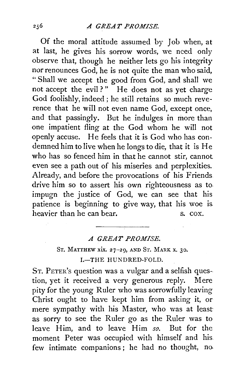Of the moral attitude assumed by Job when, at at last, he gives his sorrow words, we need only observe that, though he neither lets go his integrity nor renounces God, he is not quite the man who said, " Shall we accept the good from God, and shall we not accept the evil?" He does not as yet charge God foolishly, indeed ; he still retains so much reverence that he will not even name God, except once, and that passingly. But he indulges in more than one impatient fling at the God whom he will not openly accuse. He feels that it is God who has condemned him to live when he longs to die, that it is He who has so fenced him in that he cannot stir, cannot even see a path out of his miseries and perplexities. Already, and before the provocations of his Friends. drive him so to assert his own righteousness as to, impugn the justice of God, we can see that his patience is beginning to give way, that his woe is heavier than he can bear. S. COX.

## *A GREAT PROMISE.*

## ST. MATTHEW xix. 27-29, AND ST. MARK x. 30. I.-THE HUNDRED-FOLD.

ST. PETER's question was a vulgar and a selfish question, yet it received a very generous reply. Mere pity for the young Ruler who was sorrowfully leaving Christ ought to have kept him from asking it, or mere sympathy with his Master, who was at least as sorry to see the Ruler go as the Ruler was to leave Him, and to leave Him *so.* But for the moment Peter was occupied with himself and his. few intimate companions ; he had no thought, no.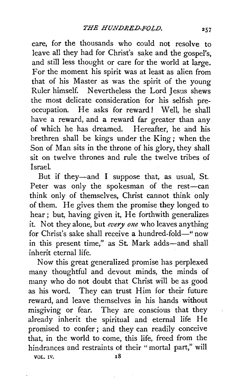care, for the thousands who could not resolve to leave all they had for Christ's sake and the gospel's, and still less thought or care for the world at large. For the moment his spirit was at least as alien from that of his Master as was the spirit of the young Ruler himself. Nevertheless the Lord Jesus shews the most delicate consideration for his selfish preoccupation. He asks for reward! Well, he shall have a reward, and a reward far greater than any of which he has dreamed. Hereafter, he and his brethren shall be kings under the King; when the Son of Man sits in the throne of his glory, they shall sit on twelve thrones and rule the twelve tribes of Israel.

But if they-and I suppose that, as usual, St. Peter was only the spokesman of the rest-can think only of themselves, Christ cannot think only of them. He gives them the promise they longed to hear ; but, having given it, He forthwith generalizes it. Not they alone, but *every one* who leaves anything for Christ's sake shall receive a hundred-fold—" now in this present time," as St. Mark adds-and shall inherit eternal life.

Now this great generalized promise has perplexed many thoughtful and devout minds, the minds of many who do not doubt that Christ will be as good as his word. They can trust Him for their future reward, and leave themselves in his hands without misgiving or fear. They are conscious that they already inherit the spiritual and eternal life He promised to confer; and they can readily conceive that, in the world to come, this life, freed from the hindrances and restraints of their "mortal part," will  $\overline{VOL}$ . 17.  $\overline{18}$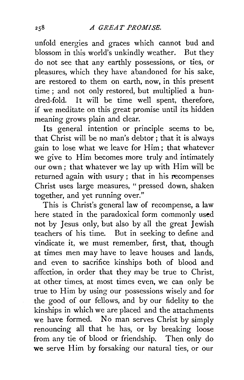unfold energies and graces which cannot bud and blossom in this world's unkindly weather. But they do not see that any earthly possessions, or ties, or pleasures, which they have abandoned for his sake, are restored to them on earth, now, in this present time ; and not only restored, but multiplied a hundred-fold. It will be time well spent, therefore, if we meditate on this great promise until its hidden meaning grows plain and clear.

Its general intention or principle seems to be, that Christ will be no man's debtor ; that it is always gain to lose what we leave for Him; that whatever we give to Him becomes more truly and intimately our own; that whatever we lay up with Him will be returned again with usury; that in his recompenses Christ uses large measures, " pressed down, shaken together, and yet running over."

This is Christ's general law of recompense, a law here stated in the paradoxical form commonly used not by Jesus only, but also by all the great Jewish teachers of his time. But in seeking to define and vindicate it, we must remember, first, that, though at times men may have to leave houses and lands, and even to sacrifice kinships both of blood and affection, in order that they may be true to Christ, at other times, at most times even, we can only be true to Him by using our possessions wisely and for the good of our fellows, and by our fidelity to the kinships in which we are placed and the attachments we have formed. No man serves Christ by simply renouncing all that he has, or by breaking loose from any tie of blood or friendship. Then only do we serve Him by forsaking our natural ties, or our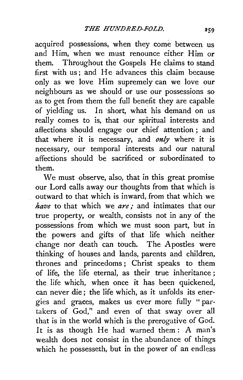acquired possessions, when they come between us and Him, when we must renounce either Him or them. Throughout the Gospels He claims to stand first with us; and He advances this claim because only as we love Him supremely can we love our neighbours as we should or use our possessions so as to get from them the full benefit they are capable of yielding us. In short, what his demand on us really comes to is, that our spiritual interests and affections should engage our chief attention ; and that where it is necessary, and *only* where it is necessary, our temporal interests and our natural affections should be sacrificed or subordinated to them.

We must observe, also, that in this great promise our Lord calls away our thoughts from that which is outward to that which is inward, from that which we *have* to that which we *are*; and intimates that our true property, or wealth, consists not in any of the possessions from which we must soon part, but in the powers and gifts of that life which neither change nor death can touch. The Apostles were thinking of houses and lands, parents and children, thrones and princedoms ; Christ speaks to them of life, the life eternal, as their true inheritance ; the life which, when once it has been quickened, can never die; the life which, as it unfolds its energies and graces, makes us ever more fully " partakers of God," and even of that sway over all that is in the world which is the prerogative of God. It is as though He had warned them : A man's wealth does not consist in the abundance of things which he possesseth, but in the power of an endless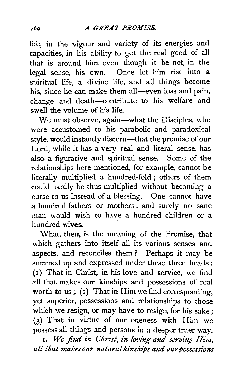life, in the vigour and variety of its energies and capacities, in his ability to get the real good of all that is around him, even though it be not, in the legal sense, his own. Once let him rise into a spiritual life, a divine life, and all things become his, since he can make them all-even loss and pain, change and death-contribute to his welfare and swell the volume of his life.

We must observe, again-what the Disciples, who were accustomed to his parabolic and paradoxical style, would instantly discern-that the promise of our Lord, while it has a very real and literal sense, has also a figurative and spiritual sense. Some of the relationships here mentioned, for example, cannot be literally multiplied a hundred-fold ; others of them could hardly be thus multiplied without becoming a curse to us instead of a blessing. One cannot have a hundred fathers or mothers ; and surely no sane man would wish to have a hundred children or a hundred wives..

What, then, is the meaning of the Promise, that which gathers into itself all its various senses and aspects, and reconciles them ? Perhaps it may be summed up and expressed under these three heads: (I) That in Christ, in his love and iervice, we find all that makes our kinships. and possessions of real worth to us; (2) That in Him we find corresponding, yet superior, possessions and relationships to those which we resign, or may have to resign, for his sake; (3) That in virtue of our oneness with Him we possess all things and persons in a deeper truer way.

I. *We find in Christ, in loving and serving Him,*  all that makes our natural kinships and our possessions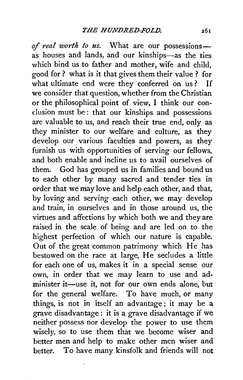of *real worth to us.* What are our possessionsas houses and lands, and our kinships-as the ties which bind us to father and mother, wife and child, good for? what is it that gives them their value ? for what ultimate end were they conferred on us? If we consider that question, whether from the Christian or the philosophical point of view, I think our conclusion must be: that our kinships and possessions are valuable to us, and reach their true end, only as they minister to our welfare and culture, as they develop our various faculties and powers, as they furnish us with opportunities of serving our fellows, and both enable and incline us to avail ourselves of them. God has grouped us in families and bound us to each other by many sacred and tender ties in order that we may love and help each other, and that, by loving and serving each other, we may develop and train, in ourselves and in those around us, the virtues and affections by which both we and they are raised in the scale of being and are led on to the highest perfection of which our nature is capable. Out of the great common patrimony which He has bestowed on the race at large, He secludes a little for each one of us, makes it in a special sense our own, in order that we may learn to use and administer it-use it, not for our own ends alone, but for the general welfare. To have much, or many things, is not in itself an advantage; it may be a grave disadvantage: it is a grave disadvantage if we neither possess nor develop the power to use them wisely, so to use them that we become wiser and better men and help to make other men wiser and better. To have many kinsfolk and friends will not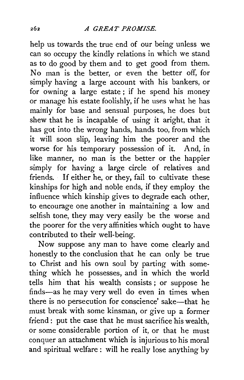help us towards the true end of our being unless we can so occupy the kindly relations in which we stand as to do good by them and to get good from them. No man is the better, or even the better off, for simply having a large account with his bankers, or for owning a large estate ; if he spend his money or manage his estate foolishly, if he uses what he has mainly for base and sensual purposes, he does but shew that he is incapable of using it aright, that it has got into the wrong hands, hands too, from which it will soon slip, leaving him the poorer and the worse for his temporary possession of it. And, in like manner, no man is the better or the happier simply for having a large circle of relatives and friends. If either he, or they, fail to cultivate these kinships for high and noble ends, if they employ the influence which kinship gives to degrade each other, to encourage one another in maintaining a low and selfish tone, they may very easily be the worse and the poorer for the very affinities which ought to have contributed to their well-being.

Now suppose any man to have come clearly and honestly to the conclusion that he can only be true to Christ and his own soul by parting with something which he possesses, and in which the world tells him that his wealth consists; or suppose he finds-as he may very well do even in times when there is no persecution for conscience' sake-that he must break with some kinsman, or give up a former friend: put the case that he must sacrifice his wealth, or some considerable portion of it, or that he must conquer an attachment which is injurious to his moral and spiritual welfare : will he really lose anything by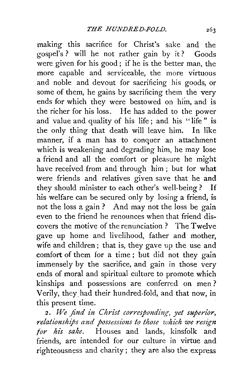making this sacrifice for Christ's sake and the gospel's? will he not rather gain by it? Goods were given for his good; if he is the better man, the more capable and serviceable, the more virtuous and noble and devout for sacrificing his goods, or some of them, he gains by sacrificing them the very ends for which they were bestowed on him, and is the richer for his loss. He has added to the power and value and quality of his life; and his "life" is the only thing that death will leave him. In like manner, if a man has to conquer an attachment which is weakening and degrading him, he may lose a friend and all the comfort or pleasure he might have received from and through him ; but for what were friends and relatives given save that he and they should minister to each other's well-being? If his welfare can be secured only by losing a friend, is not the loss a gain ? And may not the loss be gain even to the friend he renounces when that friend dis· covers the motive of the renunciation? The Twelve gave up home and livelihood, father and mother, wife and children ; that is, they gave up the use and comfort of them for a time ; but did not they gain immensely by the sacrifice, and gain in those very ends of moral and spiritual culture to promote which kinships and possessions are conferred on men ? Verily, they had their hundred-fold, and that now, in this present time.

2. We find in Christ corresponding, yet superior, *relationships and possessions to those which we resign for his sake.* Houses and lands, kinsfolk and friends, are intended for our culture in virtue and righteousness and charity; they are also the express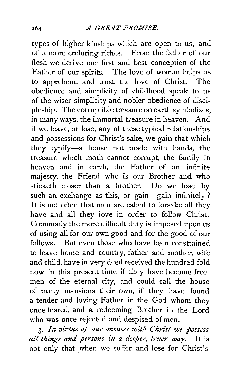types of higher kinships which are open to us, and of a more enduring riches. From the father of our flesh we derive our first and best conception of the Father of our spirits. The love of woman helps us to apprehend and trust the love of Christ. The obedience and simplicity of childhood speak to us of the wiser simplicity and nobler obedience of discipleship. The corruptible treasure on earth symbolizes, in many ways, the immortal treasure in heaven. And if we leave, or lose, any of these typical relationships and possessions for Christ's sake, we gain that which they typify-a house not made with hands, the treasure which moth cannot corrupt, the family in heaven and in earth, the Father of an infinite majesty, the Friend who is our Brother and who sticketh closer than a brother. Do we lose by such an exchange as this, or gain-gain infinitely? It is not often that men are called to forsake all they have and all they love in order to follow Christ. Commonly the more difficult duty is imposed upon us of using all for our own good and for the good of our fellows. But even those who have been constrained to leave home and country, father and mother, wife and child, have in very deed received the hundred-fold now in this present time if they have become freemen of the eternal city, and could call the house of many mansions their own, if they have found a tender and loving Father in the *Goi* whom they once feared, and a redeeming Brother in the Lord who was once rejected and despised of men.

3· *In virtue of our oneness with Christ we possess all things and persons in a deeper, truer way.* It is not only that when we suffer and lose for Christ's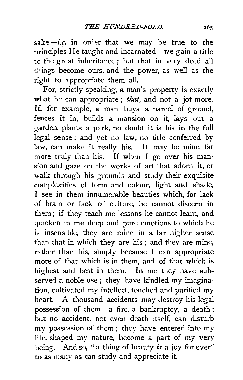*sake-i.e.* in order that we may be true to the principles He taught and incarnated-we gain a title to the great inheritance ; but that in very deed all things become ours, and the power, as well as the right, to appropriate them all.

For, strictly speaking, a man's property is exactly what he can appropriate ; *that,* and not a jot more. If, for example, a man buys a parcel of ground, fences it in, builds a mansion on it, lays out a garden, plants a park, no doubt it is his in the full legal sense ; and yet no law, no title conferred by law, can make it really his. It may be mine far more truly than his. If when I go over his mansion and gaze on the works of art that adorn it, or walk through his grounds and study their exquisite complexities of form and colour, light and shade, I see in them innumerable beauties which, for Jack of brain or lack of culture, he cannot discern in them ; if they teach me lessons he cannot learn, and quicken in me deep and pure emotions to which he is insensible, they are mine in a far higher sense than that in which they are his ; and they are mine, rather than his, simply because I can appropriate more of that which is in them, and of that which is highest and best in them. In me they have subserved a noble use ; they have kindled my imagination, cultivated my intellect, touched and purified my heart. A thousand accidents may destroy his legal possession of them-a fire, a bankruptcy, a death ; but no accident, not even death itself, can disturb my possession of them; they have entered into my life, shaped my nature, become a part of my very being. And so, "a thing of beauty *is* a joy for ever" to as many as can study and appreciate it.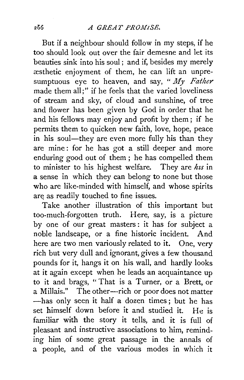But if a neighbour should follow in my steps, if he too should look out over the fair demesne and let its beauties sink into his soul; and if, besides my merely xsthetic enjoyment of them, he can lift an unpresumptuous eye to heaven, and say, " *My Father*  made them all;" if he feels that the varied loveliness of stream and sky, of cloud and sunshine, of tree and flower has been given by God in order that he and his fellows may enjoy and profit by them; if he permits them to quicken new faith, love, hope, peace in his soul—they are even more fully his than they are mine: for he has got a still deeper and more enduring good out of them ; he has compelled them to minister to his highest welfare. They are *hzs* in a sense in which they can belong to none but those who are like-minded with himself, and whose spirits are as readily touched to fine issues.

Take another illustration of this important but too-much-forgotten truth. Here, say, is a picture by one of our great masters : it has for subject a noble landscape, or a fine historic incident. And here are two men variously related to it. One, very rich but very dull and ignorant, gives a few thousand pounds for it, hangs it on his wall, and hardly looks at it again except when he leads an acquaintance up to it and brags, "That is a Turner, or a Brett, or a Millais." The other---rich or poor does not matter -has only seen it half a dozen times; but he has set himself down before it and studied it. He is familiar with the story it tells, and it is full of pleasant and instructive associations to him, reminding him of some great passage in the annals of a people, and of the various modes in which it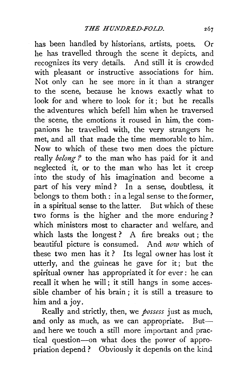has been handled by historians, artists, poets. Or he has travelled through the scene it depicts, and recognizes its very details. And still it is crowded with pleasant or instructive associations for him. Not only can he see more in it than a stranger to the scene, because he knows exactly what to look for and where to look for it: but he recalls the adventures which befell him when he traversed the scene, the emotions it roused in him, the companions he travelled with, the very strangers he met, and all that made the time memorable to him. Now to which of these two men does the picture really *belong ?* to the man who has paid for it and neglected it, or to the man who has let it creep into the study of his imagination and become a part of his very mind? In a sense, doubtless, it belongs to them both : in a legal sense to the former, in a spiritual sense to the latter. But which of these two forms is the higher and the more enduring ? which ministers most to character and welfare, and which lasts the longest ? A fire breaks out ; the beautiful picture is consumed. And *now* which of these two men has it ? Its legal owner has lost it utterly, and the guineas he gave for it; but the spiritual owner has appropriated it for ever : he can recall it when he will; it still hangs in some accessible chamber of his brain ; it is still a treasure to him and a joy.

Really and strictly, then, we *possess* just as much, and only as much, as we can appropriate. Butand here we touch a still more important and practical question-on what does the power of appropriation depend ? Obviously it depends on the kind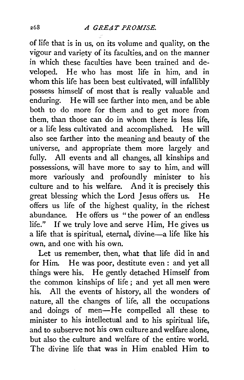of life that is in us, on its volume and quality, on the vigour and variety of its faculties, and on the manner in which these faculties have been trained and developed. He who has most life in him, and in whom this life has been best cultivated, will infallibly possess himself of most that is really valuable and enduring. He will see farther into men, and be able both to do more for them and to get more from them, than those can do in whom there is less life, or a life less cultivated and accomplished. He will also see farther into the meaning and beauty of the universe, and appropriate them more largely and fully. All events and all changes, all kinships and possessions, will have more to say to him, and will more variously and profoundly minister to his culture and to his welfare. And it is precisely this great blessing which the Lord Jesus offers us. He offers us life of the highest quality, in the richest abundance. He offers us "the power of an endless life." If we truly love and serve Him, He gives us a life that is spiritual, eternal, divine-a life like his own, and one with his own.

Let us remember, then, what that life did in and for Him. He was poor, destitute even : and yet all things were his. He gently detached Himself from the common kinships of life ; and yet all men were his. All the events of history, all the wonders of nature, all the changes of life, all the occupations and doings of men-He compelled all these to minister to his intellectual and to his spiritual life, and to subserve not his own culture and welfare alone, but also the culture and welfare of the entire world. The divine life that was in Him enabled Him to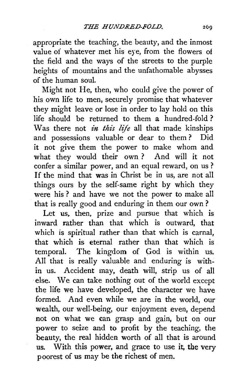appropriate the teaching, the beauty, and the inmost value of whatever met his eye, from the flowers of the field and the ways of the streets to the purple heights of mountains and the unfathomable abysses of the human soul.

Might not He, then, who could give the power of his own life to men, securely promise that whatever they might leave or lose in order to lay hold on this life should be returned to them a hundred-fold ? Was there not *in this life* all that made kinships and possessions valuable or dear to them ? Did it not give them the power to make whom and what they would their own ? And will it not confer a similar power, and an equal reward, on us? If the mind that was in Christ be in us, are not all things ours by the self-same right by which they were his ? and have we not the power to make all that is really good and enduring in them our own?

Let us, then, prize and pursue that which is inward rather than that which is outward, that which is spiritual rather than that which is carnal, that which is eternal rather than that which is temporal. The kingdom of God is within us. All that is really valuable and enduring is within us. Accident may, death will, strip us of all else. We can take nothing out of the world except the life we have developed, the character we have formed. And even while we are in the world, our wealth, our well-being, our enjoyment even, depend not on what we can grasp and gain, but on our power to seize and to profit by the teaching, the beauty, the real hidden worth of all that is around us. With this power, and grace to use it, the very poorest of us may be the richest of men.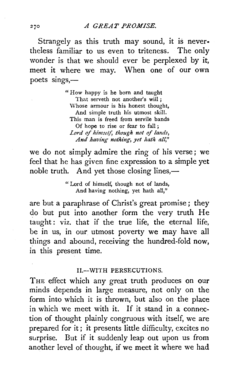Strangely as this truth may sound, it is never· theless familiar to us even to triteness. The only wonder is that we should ever be perplexed by it, meet it where we may. When one of our own poets sings,-

> "How happy is he born and taught That serveth not another's will ; \Vhose armour is his honest thought, And simple truth his utmost skill. This man is freed from servile bands Of hope to rise or fear to fall ; Lord of himself, though not of lands, *And having nothing, yet hath all,"*

we do not simply admire the ring of his verse; we feel that he has given fine expression to a simple yet noble truth. And yet those closing lines,—

> " Lord of himself, though not of lands, And having nothing, yet hath all,"

are but a paraphrase of Christ's great promise; they do but put into another form the very truth He taught : viz. that if the true life, the eternal life, be in us, in our utmost poverty we may have all things and abound, receiving the hundred-fold now, in this present time.

## II.-WITH PERSECUTIONS.

THE effect which any great truth produces on our minds depends in large measure, not only on the form into which it is thrown, but also on the place in which we meet with it. If it stand in a connection of thought plainly congruous with itself, we are prepared for it; it presents little difficulty, excites no surprise. But if it suddenly leap out upon us from another level of thought, if we meet it where we had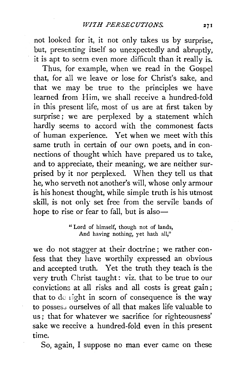not looked for it, it not only takes us by surprise, but, presenting itself so unexpectedly and abruptly, it is apt to seem even more difficult than it really is.

Thus, for example, when we read in the Gospel that, for all we leave or lose for Christ's sake, and that we may be true to the principles we have learned from Him, we shall receive a hundred-fold in this present life, most of us are at first taken by surprise; we are perplexed by a statement which hardly seems to accord with the commonest facts of human experience. Yet when we meet with this same truth in certain of our own poets, and in connections of thought which have prepared us to take, and to appreciate, their meaning, we are neither surprised by it nor perplexed. When they tell us that he, who serveth not another's will, whose only armour is his honest thought, while simple truth is his utmost skill, is not only set free from the servile bands of hope to rise or fear to fall, but is also-

> " Lord of himself, though not of lands, And having nothing, yet hath all."

we do not stagger at their doctrine; we rather confess that they have worthily expressed an obvious and accepted truth. Yet the truth they teach is the very truth Christ taught: viz. that to be true to our convictions at all risks and all costs is great gain ; that to de right in scorn of consequence is the way to possess ourselves of all that makes life valuable to us ; that for whatever we sacrifice for righteousness' sake we receive a hundred-fold even in this present time.

So, again, I suppose no man ever came on these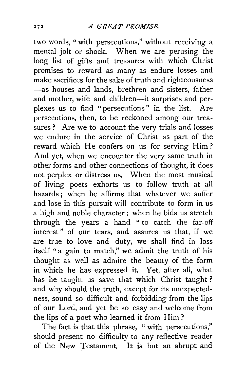two words, "with persecutions," without receiving a mental jolt or shock. When we are perusing the long list of gifts and treasures with which Christ promises to reward as many as endure losses and make sacrifices for the sake of truth and righteousness -as houses and lands, brethren and sisters, father and mother, wife and children-it surprises and perplexes us to find "persecutions" in the list. Are persecutions, then, to be reckoned among our treasures? Are we to account the very trials and losses we endure in the service of Christ as part of the reward which He confers on us for serving Him? And yet, when we encounter the very same truth in other forms and other connections of thought, it does not perplex or distress us. When the most musical of living poets exhorts us to follow truth at all hazards ; when he affirms that whatever we suffer and lose in this pursuit will contribute to form in us a high and noble character; when he bids us stretch through the years a hand " to catch the far-off interest " of our tears, and assures us that, if we are true to love and duty, we shall find in loss itself "a gain to match," we admit the truth of his thought as well as admire the beauty of the form in which he has expressed it. Yet, after all, what has he taught us save that which Christ taught? and why should the truth, except for its unexpectedness, sound so difficult and forbidding from the lips of our Lord, and yet be so easy and welcome from the lips of a poet who learned it from Him ?

The fact is that this phrase, "with persecutions," should present no difficulty to any reflective reader of the New Testament. It is but an abrupt and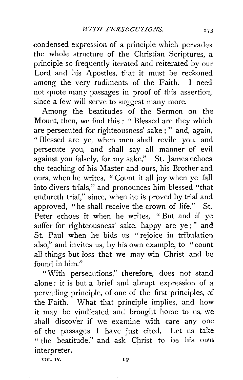condensed expression of a principle which pervades the whole structure of the Christian Scriptures, a principle so frequently iterated and reiterated by our Lord and his Apostles, that it must be reckoned among the very rudiments of the Faith. I need not quote many passages in proof of this assertion, since a few will serve to suggest many more.

Among the beatitudes of the Sermon on the Mount, then, we find this : " Blessed are they which are persecuted for righteousness' sake ; " and, again, " Blessed are *ye,* when men shall revile you, and persecute *you,* and shall say all manner of evil against you falsely, for my sake," St. James echoes the teaching of his Master and ours, his Brother and ours, when he writes, "Count it all joy when ye fall into divers trials," and pronounces him blessed "that endureth trial," since, when he is proved by trial and approved, "he shall receive the crown of life." St. Peter echoes it when he writes, " But and if ye suffer for righteousness' sake, happy are ye;" and St. Paul when he bids us "rejoice in tribulation also," and invites us, by his own example, to "count all things but loss that we may win Christ and be found in him."

"With persecutions," therefore, does not stand alone : it is but a brief and abrupt expression of a pervading principle, of one of the first principles, of the Faith. What that principle implies, and how it may be vindicated and brought home to us, we shall discover if we examine with care any one of the passages I have just cited. Let us take " the beatitude," and ask Christ to be his own interpreter.

VOL. IV.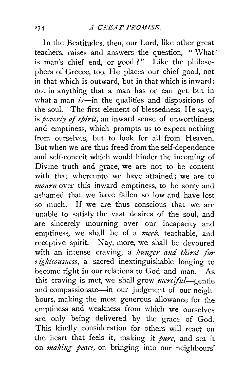In the Beatitudes, then, our Lord, like other great teachers, raises and answers the question, " \Vhat is man's chief end, or good?" Like the philosophers of Greece, too, He places our chief good, not in that which is outward, but in that which is inward; not in anything that a man has or can get, but in what a man  $i\bar{s}$ -in the qualities and dispositions of the soul. The first element of blessedness, He says, is *poverty of spirit,* an inward sense of unworthiness and emptiness, which prompts us to expect nothing from ourselves, but to look for all from Heaven. Dut when we are thus freed from the self-dependence and self-conceit which would hinder the incoming of Divine truth and grace, we are not to be content with that whereunto we have attained; we are to *mourn* over this inward emptiness, to be sorry and ashamed that we have fallen so low and have lost so much. If we are thus conscious that we are unable to satisfy the vast desires of the soul, and are sincerely mourning over our incapacity and emptiness, we shall be of a *meek,* teachable, and receptive spirit. Nay, more, we shall be devoured with an intense craving, a *hunger and thirst for nter an ance is a sacred inextinguishable longing to* become right in our relations to God and man. As this craving is met, we shall grow *merciful-gentle*  and compassionate-in our judgment of our neighbours, making the most generous allowance for the emptiness and weakness from which we ourselves are only being delivered by the grace of God. This kindly consideration for others will react on the heart that feels it, making it *pure,* and set it on *making peace*, on bringing into our neighbours'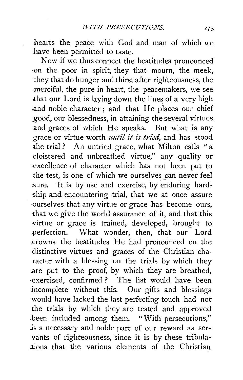$\frac{1}{2}$  the peace with God and man of which  $\overline{w}$ have been permitted to taste.

Now if we thus connect the beatitudes pronounced -on the poor in spirit, they that mourn, the meek, they that do hunger and thirst after righteousness, the merciful, the pure in heart, the peacemakers, we see that our Lord is laying down the lines of a very high .and noble character; and that He places our chief \_good, our blessedness, in attaining the several virtues and graces of which He speaks. But what is any grace or virtue worth *until it is tried,* and has stood the trial ? An untried grace, what Milton calls "a cloistered and unbreathed virtue," any quality or -excellence of character which has not been put to the test, is one of which we ourselves can never feel sure. It is by use and exercise, by enduring hardship and encountering trial, that we at once assure ourselves that any virtue or grace has become ours, that we give the world assurance of it, and that this virtue or grace is trained, developed, brought to perfection. What wonder, then, that our Lord .crowns the beatitudes He had pronounced on the distinctive virtues and graces of the Christian character with a blessing on the trials by which they are put to the proof, by which they are breathed, ·exercised, confirmed ? The list would have been jncomplete without this. Our gifts and blessings would have lacked the last perfecting touch had not the trials by which they are tested and approved .been included among them. "With persecutions," *is* a necessary and noble part of our reward as servants of righteousness, since it is by these tribula- .tions that the various elements of the Christian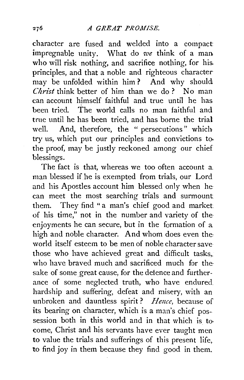character are fused and welded into a compact impregnable unity. What do *we* think of a man who will risk nothing, and sacrifice nothing, for his. principles, and that a noble and righteous character may be unfolded within him? And why should *Christ* think better of him than we do? No man can account himself faithful and true until he has been tried. The world calls no man faithful and true until he has been tried, and has borne the trial well. And, therefore, the " persecutions" which try us, which put our principles and convictions to. the proof, may be justly reckoned among our chief blessings.

The fact is that, whereas we too often account a. man blessed if he is exempted from trials, our Lord and his Apostles account him blessed only when he can meet the most searching trials and surmount them. They find "a man's chief good and market of his time," not in the number and variety of theenjoyments he can secure, but in the formation of a high and noble character. And whom does even the: world itself esteem to be men of noble character save those who have achieved great and difficult tasks,. who have braved much and sacrificed much for thesake of some great cause, for the defence and furtherance of some neglected truth, who have endured hardship and suffering, defeat and misery, with an unbroken and dauntless spirit? *Hence,* because of its bearing on character, which is a man's chief possession both in this world and in that which is tocome, Christ and his servants have ever taught men to value the trials and sufferings of this present life, to find joy in them because they find good in them.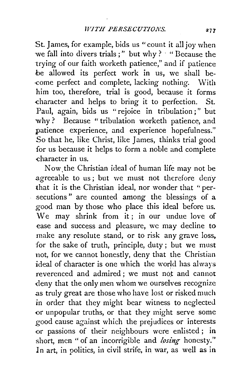St. James, for example, bids us "count it all joy when we fall into divers trials;" but why? " "Because the trying of our faith worketh patience," and if patience be allowed its perfect work in us, we shall be come perfect and complete, lacking nothing. With him too, therefore, trial is good, because it forms -character and helps to bring it to perfection. St. Paul, again, bids us "rejoice in tribulation;" but why? Because "tribulation worketh patience, and patience experience, and experience hopefulness." So that he, like Christ, like James, thinks trial good for us because it helps to form a noble and complete -character in us.

Now. the Christian ideal of human life may not be agreeable to us; but we must not therefore deny that it is the Christian ideal, nor wonder that " persecutions " are counted among the blessings of a good man by those who place this ideal before us. We may shrink from it; in our undue love of ease and success and pleasure, we may decline to make any resolute stand, or to risk any grave loss, for the sake of truth, principle, duty; but we must not, for we cannot honestly, deny that the Christian ideal of character is one which the world has always reverenced and admired ; we must not and cannot deny that the only men whom we ourselves recognize .as truly great are those who have lost or risked much in order that they might bear witness to neglected or unpopular truths, or that they might serve some good cause against which the prejudices or interests or passions of their neighbours were enlisted; in short, men " of an incorrigible and *losing* honesty." ln art, in politics, in civil strife, in war, as well as in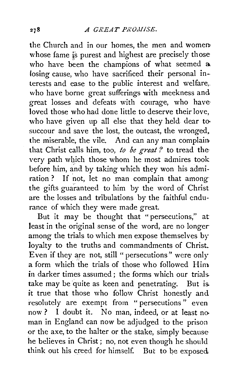the Church and in our homes, the men and women whose fame is purest and highest are precisely those who have been the champions of what seemed a losing cause, who have sacrificed their personal interests and ease to the public interest and welfare,. who have borne great sufferings with meekness and great losses and defeats with courage, who have loved those who had done little to deserve their love, who have given up all else that they held dear to succour and save the lost, the outcast, the wronged. the miserable, the vile. And can any man complain that Christ calls him, too, *to be great?* to tread the very path which those whom he most admires took before him, and by taking which they won his admiration ? If not, let no man complain that among the gifts guaranteed to him by the word of Christ are the losses and tribulations by the faithful endurance of which they were made great.

But it may be thought that "persecutions," at least in the original sense of the word, are no longer among the trials to which men expose themselves by loyalty to the truths and commandments of Christ. Even if they are not, still " persecutions" were only a form which the trials of those who followed Him in darker times assumed ; the forms which our trials. take may be quite as keen and penetrating. But is. it true that those who follow Christ honestly and resolutely are exempt from "persecutions" even now ? I doubt it. No man, indeed, or at least no. man in England can now be adjudged to the prison or the axe, to the halter or the stake, simply because he believes in Christ ; no, not even though he should think out his creed for himself. But to be exposed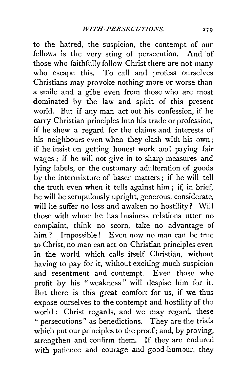to the hatred, the suspicion, the contempt of our fellows is the very sting of persecution. And of those who faithfully follow Christ there are not many who escape this. To call and profess ourselves Christians may provoke nothing more or worse than a smile and a gibe even from those who are most dominated by the law and spirit of this present world. But if any man act out his confession, if he carry Christian principles into his trade or profession, if he shew a regard for the claims and interests of his neighbours even when they clash with his own ; if he insist on getting honest work and paying fair wages; if he will not give in to sharp measures and lying labels, or the customary adulteration of goods by the intermixture of baser matters; if he will tell the truth even when it tells against him ; if, in brief, he will be scrupulously upright, generous, considerate, will he suffer no loss and awaken no hostility? Will those with whom he has business relations utter no complaint, think no scorn, take no advantage of him? Impossible! Even now no man can be true to Christ, no man can act on Christian principles even in the world which calls itself Christian, without having to pay for it, without exciting much suspicion and resentment and contempt. Even those who profit by his "weakness " will despise him for it. But there is this. great comfort for us, if we thus expose ourselves to the contempt and hostility of the world: Christ regards, and we may regard, these " persecutions" as benedictions. They are the trials which put our principles to the proof; and, by proving, strengthen and confirm them. If they are endured with patience and courage and good-humour, they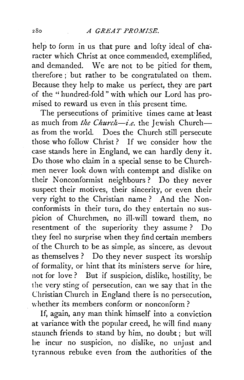help to form in us that pure and lofty ideal of character which Christ at once commendcd, exemplified, and demanded. We are not to be pitied for them, therefore ; but rather to be congratulated on them. Because they help to make us perfect, they are part of the ''hundred-fold" with which our Lord has promised to reward us even in this present time.

The persecutions of primitive times came at-least as much from *the Church-i.e.* the Jewish Churchas from the world. Does the Church still persecute those who follow Christ ? If we consider how the case stands here in England, we can hardly deny it. Do those who claim in a special sense to be Churchmen never look down with contempt and dislike on their Nonconformist neighbours ? Do they never suspect their motives, their sincerity, or even their very right to the Christian name ? And the Nonconformists in their turn, do they entertain no suspicion of Churchmen, no ill-will toward them, no resentment of the superiority they assume ? Do they feel no surprise when they find certain members of the Church to be as simple, as sincere, as devout as themselves ? Do they never suspect its worship of formality, or hint that its ministers serve for hire, not for love ? But if suspicion, dislike, hostility, be the very sting of persecution, can we say that in the Christian Church in England there is no persecution, whether its members conform or nonconform ?

If, again, any man think himself into a conviction at variance with the popular creed, he will find many staunch friends to stand by him, no doubt ; but will he incur no suspicion, no dislike, no unjust and tyrannous rebuke even from the authorities of the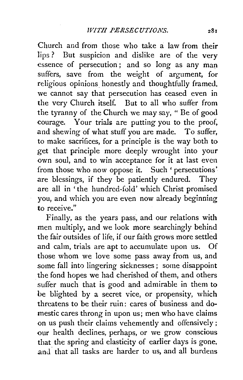Church and from those who take a law from their lips ? But suspicion and dislike are of the very essence of persecution ; and so long as any man suffers, save from the weight of argument, for religious opinions honestly and thoughtfully framed, we cannot say that persecution has ceased even in the very Church itself. But to all who suffer from the tyranny of the Church we may say, " Be of good courage. Your trials are putting you to the proof, and shewing of what stuff you are made. To suffer, to make sacrifices, for a principle is the way both to get that principle more deeply wrought into your own soul, and to win acceptance for it at last even from those who now oppose it. Such 'persecutions' are blessings, if they be patiently endured. They are all in 'the hundred-fold' which Christ promised you, and which you are even now already beginning to receive."

Finally, as the years pass, and our relations with men multiply, and we look more searchingly behind the fair outsides of life, if our faith grows more settled and calm, trials are apt to accumulate upon us. Of those whom we love some pass away from us, and some fall into lingering sicknesses ; some disappoint the fond hopes we had cherished of them, and others suffer much that is good and admirable in them to be blighted by a secret vice, or propensity, which threatens to be their ruin: cares of business and domestic cares throng in upon us; men who have claims on us push their claims vehemently and offensively; our health declines, perhaps, or we grow conscious that the spring and elasticity of earlier days is gone, and that all tasks are harder to us, and all burdens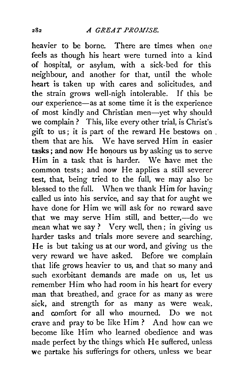heavier to be borne. There are times when one feels as though his heart were turned into a kind of hospital, or asylum, with a sick-bed for this neighbour, and another for that, until the whole heart is taken up with cares and solicitudes, and the strain grows well-nigh intolerable. If this be our experience-as at some time it is the experience of most kindly and Christian men-yet why should we complain ? This, like every other trial, is Christ's gift to us; it is part of the reward He bestows on , them that are his. We have served Him in easier tasks; and now He honours us by asking us to serve Him in a task that is harder. We have met the common tests; and now He applies a still severer test, that, being tried to the full, we may also be blessed to the full. When we thank Him for having called us into his service, and say that for aught we have done for Him we will ask for no reward save that we may serve Him still, and better,-do we mean what we say ? Very well, then; in giving us harder tasks and trials more severe and searching. He is but taking us at our word, and giving us the very reward we have asked. Before we complain that life grows heavier to us, and that so many and such exorbitant demands are made on us, let us remember Him who had room in his heart for every man that breathed, and grace for as many as were sick, ahd strength for as many as were weak, and comfort for all who mourned. Do we not crave and pray to be like Him? And how can we become like Him who learned obedience and was made perfect by the things which He suffered, unless we partake his sufferings for others, unless we bear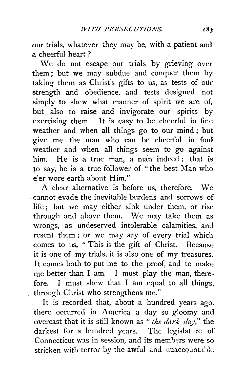our trials, whatever they may be, with a patient and a cheerful heart ?

We do not escape our trials by grieving over them ; but we may subdue and conquer them by taking them as Christ's gifts to us, as tests of our strength and obedience, and tests designed not simply to shew what manner of spirit we are of, but also to raise and invigorate our spirits by exercising them. It is easy to be cheerful in fine weather and when all things go to our mind; but give me the man who can be cheerful in foul weather and when all things seem to go against him. He is a true man, a man indeed ; that is to say, he is a true follower of " the best Man who e'er wore earth about Him."

A clear alternative is before us, therefore. \Ve cannot evade the inevitable burdens and sorrows of life ; but we may either sink under them, or rise through and above them. We may take them as wrongs, as undeserved intolerable calamities, and resent them; or we may say of every trial which comes to us, " This is the gift of Christ. Because it is one of my trials, it is also one of my treasures. It comes both to put me to the proof, and to make me better than I am. I must play the man, therefore. I must shew that I am equal to all things, through Christ who strengthens me."

It is recorded that, about a hundred years ago, there occurred in America a day so gloomy and overcast that it is still known as *"the dark day,"* the darkest for a hundred years. The legislature of Connecticut was in session, and its members were so stricken with terror by the awful and unaccountable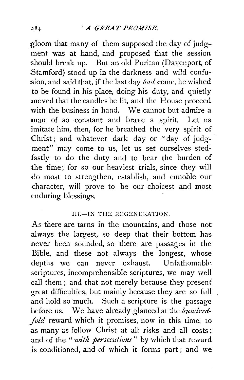gloom that many of them supposed the day of judgment was at hand, and proposed that the session should break up. But an old Puritan (Davenport, of Stamford) stood up in the darkness and wild confusion, and said that, if the last day *had* come, he wished to be found in his place, doing his duty, and quietly moved that the candles be lit, and the House proceed with the business in hand. We cannot but admire a man of so constant and brave a spirit. Let us imitate him, then, for he breathed the very spirit of Christ; and whatever dark day or "day of judgment" may come to us, let us set ourselves stedfastly to do the duty and to bear the burden of the time; for so our heaviest trials, since they will do most to strengthen, establish, and ennoble our character, will prove to be our choicest and most enduring blessings.

## III.-IN THE REGENERATION.

As there are tarns in the mountains, and those not always the largest, so deep that their bottom has never been sounded, so there are passages in the Bible, and these not always the longest, whose depths we can never exhaust. Unfathomable scriptures, incomprehensible scriptures, we may well call them ; and that not merely because they present great difficulties, but mainly because they are so full and hold so much. Such a scripture is the passage before us. We have already glanced at the *hundred*-*\_fo/d* reward which it promises, now in this time, to as many as follow Christ at all risks and all costs; and of the "*with persecutions*" by which that reward is conditioned, and of which it forms part; and we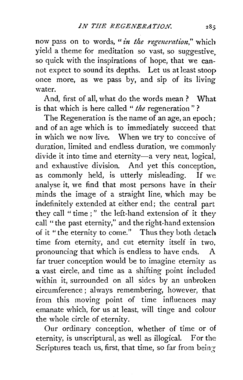now pass on to words, "*in the regeneration*," which yield a theme for meditation so vast, so suggestive, so quick with the inspirations of hope, that we cannot expect to sound its depths. Let us at least stoop once more, as we pass by, and sip of its living water.

And, first of all, what do the words mean? What is that which is here called " *the* regeneration " ?

The Regeneration is the name of an age, an epoch; and of an age which is to immediately succeed that in which we now live. When we try to conceive of duration, limited and endless duration, we commonly divide it into time and eternity-a very neat, logical, and exhaustive division. And yet this conception, as commonly held, is utterly misleading. If we analyse it, we find that most persons have in their minds the image of a straight line, which may be indefinitely extended at either end; the central part they call " time ;" the left-hand extension of it they call "the past eternity," and the right-hand extension of it "the eternity to come." Thus they both detach time from eternity, and cut eternity itself in two, pronouncing that which is endless to have ends. A far truer conception would be to imagine eternity as a vast circle, and time as a shifting point included within it, surrounded on all sides by an unbroken circumference; always remembering, however, that from this moving point of time influences may emanate which, for us at least, will tinge and colour the whole circle of eternity.

Our ordinary conception, whether of time or of eternity, is unscriptural, as well as illogical. For the Scriptures teach us, first, that time, so far from being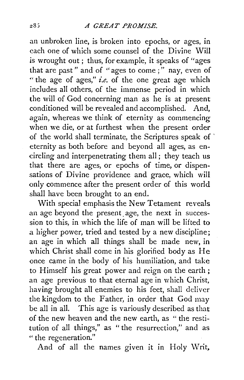an unbroken line, is broken into epochs, or ages, in each one of which some counsel of the Divine Will is wrought out ; thus, for example, it speaks of "ages that are past " and of "ages to come ; " nay, even of " the age of ages," *i.e.* of the one great age which includes all others, of the immense period in which the will of God concerning man as he is at present conditioned will be revealed and accomplished. And, again, whereas we think of eternity as commencing when we die, or at furthest when the present order of the world shall terminate, the Scriptures speak of ' eternity as both before and beyond all ages, as encircling and interpenetrating them all ; they teach us that there are ages, or epochs of time, or dispensations of Divine providence and grace, which will only commence after the present order of this world shall have been brought to an end.

With special emphasis the New Tetament reveals an age beyond the present age, the next in succession to this, in which the life of man will be lifted to a higher power, tried and tested by a new discipline; an age in which all things shall be made new, in which Christ shall come in his glorified body as He once came in the body of his humiliation, and take to Himself his great power and reign on the earth; an age previous to that eternal age in which Christ, having brought all enemies to his feet, shall deliver the kingdom to the Father, in order that God may be all in all. This age is variously described as that of the new heaven and the new earth, as " the restitution of all things," as " the resurrection," and as " the regeneration."

And of all the names given it in Holy Writ,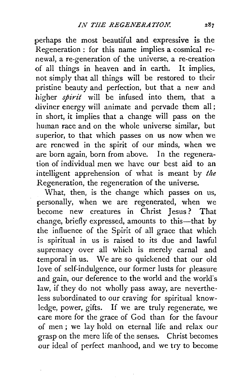perhaps the most beautiful and expressive is the Regeneration : for this name implies a cosmical renewal, a re-generation of the universe, a re-creation of all things in heaven and in earth. It implies, not simply that all things will be restored to their pristine beauty and perfection, but that a new and higher *spirit* will be infused into them, that a .diviner energy will animate and pervade them all ; in short, it implies that a change will pass on the human race and on the whole universe similar, but superior, to that which passes on us now when we are renewed in the spirit of our minds, when we are born again, born from above. In the regeneration of individual men we have our best aid to an intelligent apprehension of what is meant by *the*  Regeneration, the regeneration of the universe.

What, then, is the change which passes on us, personally, when we are regenerated, when we become new creatures in Christ Jesus ? That change, briefly expressed, amounts to this-that by the influence of the Spirit of all grace that which is spiritual in us is raised to its due and lawful supremacy over all which is merely carnal and temporal in us. We are so quickened that our old love of self-indulgence, our former lusts for pleasure and gain, our deference to the world and the world's law, if they do not wholly pass away, are nevertheless subordinated to our craving for spiritual knowledge, power, gifts. If we are truly regenerate, we care more for the grace of God than for the favour of men ; we lay hold on eternal life and relax our grasp on the mere life of the senses. Christ becomes our ideal of perfect manhood, and we try to become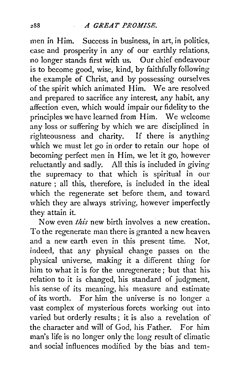men in Him. Success in business, in art, in politics, case and prosperity in any of our earthly relations, no longer stands first with us. Our chief endeavour is to become good, wise, kind, by faithfully following the example of Christ, and by possessing ourselves of the spirit which animated Him. We are resolved and prepared to sacrifice any interest, any habit, any affection even, which would impair our fidelity to the principles we have learned from Him. We welcome any loss or suffering by which we are disciplined in righteousness and charity. If there is anything which we must let go in order to retain our hope of becoming perfect men in Him, we let it go, however reluctantly and sadly. All this is included in giving the supremacy to that which is spiritual in our nature ; all this, therefore, is included in the ideal which the regenerate set before them, and toward which they are always striving, however imperfectly they attain it.

Now even *thi's* new birth involves a new creation. To the regenerate man there is granted a new heaven and a new earth even in this present time. Not, indeed, that any physical change passes on the physical universe, making it a different thing for him to what it is for the unregenerate ; but that his. relation to it is changed, his standard of judgment, his sense of its meaning, his measure and estimate of its worth. For him the universe is no longer a vast complex of mysterious forces working out into. varied but orderly results ; it is also a revelation of the character and will of God, his Father. For him man's life is no longer only the long result of climatic and social influences modified by the bias and tem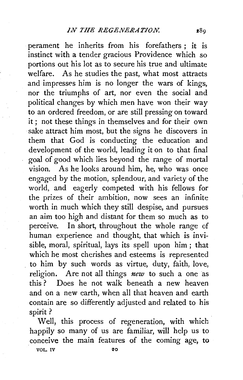perament he inherits from his forefathers ; it is instinct with a tender gracious Providence which so portions out his lot as to secure his true and ultimate welfare. As he studies the past, what most attracts and impresses him is no longer the wars of kings, nor the triumphs of art, nor even the social and political changes by which men have won their way to an ordered freedom, or are still pressing on toward it; not these things in themselves and for their own sake attract him most, but the signs he discovers in them that God is conducting the education and development of the world, leading it on to that final goal of good which lies beyond the range of mortal vision. As he looks around him, he, who was once engaged by the motion, splendour, and variety of the world, and eagerly competed with his fellows for the prizes of their ambition, now sees an infinite worth in much which they still despise, and pursues an aim too high and distant for them so much as to perceive. In short, throughout the whole range of human experience and thought, that which is invisible, moral, spiritual, lays its spell upon him ; that which he most cherishes and esteems is represented to him by such words as virtue, duty, faith, love, religion. Are not all things *new* to such a one as this ? Does he not walk beneath a new heaven and on a new earth, when all that heaven and earth contain are so differently adjusted and related to his spirit?

Well, this process of regeneration, with which happily so many of us are familiar, will help us to conceive the main features of the coming age, to

VOL. IV 20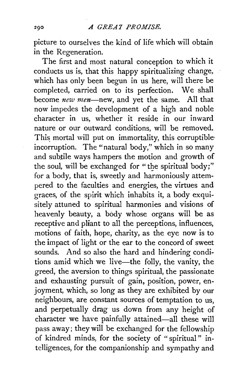picture to ourselves the kind of life which will obtain in the Regeneration.

The first and most natural conception to which it conducts us is, that this happy spiritualizing change, which has only been begun in us here, will there be completed, carried on to its perfection. We shall become *new men-new,* and yet the same. All that now impedes the development of a high and noble character in us, whether it reside in our inward nature or our outward conditions, will be removed. This mortal will put on immortality, this corruptible incorruption. The "natural body," which in so many and subtile ways hampers the motion and growth of the soul, will be exchanged for "the spiritual body;" for a body, that is, sweetly and harmoniously attempered to the faculties and energies, the virtues and graces, of the spirit which inhabits it, a body exquisitely attuned to spiritual harmonies and visions of heavenly beauty, a body whose organs will be as receptive and pliant to all the perceptions, influences, motions of faith, hope, charity, as the eye now is to the impact of light or the ear to the concord of sweet sounds. And so also the hard and hindering conditions amid which we live-the folly, the vanity, the greed, the aversion to things spiritual, the passionate and exhausting pursuit of gain, position, power, enjoyment, which, so long as they are exhibited by our neighbours, are constant sources of temptation to us, and perpetually drag us down from any height of character we have painfully attained-all these will pass away; they will be exchanged for the fellowship of kindred minds, for the society of "spiritual" intelligences, for the companionship and sympathy and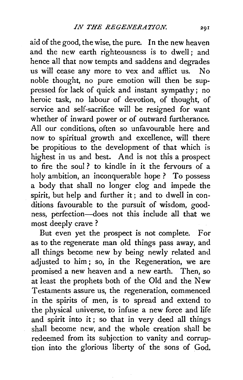aid of the good, the wise, the pure. In the new heaven and the new earth righteousness is to dwell; and hence all that now tempts and saddens and degrades us will cease any more to vex and afflict us. No noble thought, no pure emotion will then be suppressed for lack of quick and instant sympathy; no heroic task, no labour of devotion, of thought, of service and self-sacrifice will be resigned for want whether of inward power or of outward furtherance. All our conditions, often so unfavourable here and now to spiritual growth and excellence, will there be propitious to the development of that which is highest in us and best. And is not this a prospect to fire the soul ? to kindle in it the fervours of a holy ambition, an inconquerable hope? To possess a body that shall no longer clog and impede the spirit, but help and further it; and to dwell in conditions favourable to the pursuit of wisdom, goodness, perfection-does not this include all that we most deeply crave ?

But even yet the prospect is not complete. For as to the regenerate man old things pass away, and all things become new by being newly related and adjusted to him; so, in the Regeneration, we are promised a new heaven and a new earth. Then, so at least the prophets both of the Old and the New Testaments assure us, the regeneration, commenced in the spirits of men, is to spread and extend to the physical universe, to infuse a new force and life and spirit into it; so that in very deed all things shall become new, and the whole creation shall be redeemed from its subjection to vanity and corruption into the glorious liberty of the sons of God.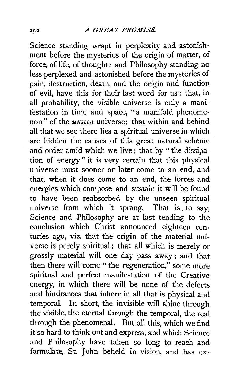Science standing wrapt in perplexity and astonishment before the mysteries of the origin of matter, of force, of life, of thought; and Philosophy standing no less perplexed and astonished before the mysteries of pain, destruction, death, and the origin and function of evil, have this for their last word for us : that, in all probability, the visible universe is only a manifestation in time and space, "a manifold phenomenon " of the *unseen* universe; that within and behind all that we see there lies a spiritual universe in which are hidden the causes of this great natural scheme and order amid which we live; that by "the dissipation of energy " it is very certain that this physical universe must sooner or later come to an end, and that, when it does come to an end, the forces and energies which compose and sustain it will be found to have been reabsorbed by the unseen spiritual universe from which it sprang. That is to say, Science and Philosophy are at last tending to the conclusion which Christ announced eighteen centuries ago, viz. that the origin of the material universe is purely spiritual ; that all which is merely or grossly material will one day pass away; and that then there will come " the regeneration," some more spiritual and perfect manifestation of the Creative energy, in which there will be none of the defects and hindrances that inhere in all that is physical and temporal. In short, the invisible will shine through the visible, the eternal through the temporal, the real through the phenomenal. But all this, which we find it so hard to think out and express, and which Science and Philosophy have taken so long to reach and formulate, St John beheld in vision, and has ex-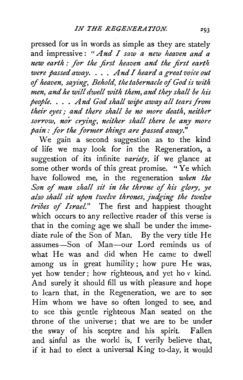pressed for us in words as simple as they are stately and impressive : *"And I saw a new heaven and a new earth : for the first heaven and the first earth were passed away.* . . . *And I heard a great voice out*  of heaven, saying, Behold, the tabernacle of God is with men, and he will dwell with them, and they shall be his *people.* . . . *And God shall wipe away all tears from their eyes* ; *and there shall be no more death, neither sorrow, nor crying, neither shall there be any more pain: for the former things are passed away."* 

We gain a second suggestion as to the kind of life we may look for in the Regeneration, a suggestion of its infinite *variety,* if we glance at some other words of this great promise. " Ye which have followed me, in the regeneration *when the*  Son of man shall sit in the throne of his glory, ye *also shall sit upon twelz•e thrones, judging the twelve tribes of Israel."* The first and happiest thought which occurs to any reflective reader of this verse is that in the coming age we shall be under the immediate rule of the Son of Man. By the very title He assumes-Son of Man-our Lord reminds us of what He was and did when He came to dwell among us in great humility; how pure He was, yet how tender; how righteous, and yet ho *v* kind. And surely it should fill us with pleasure and hope to learn that, in the Regeneration, we are to see Him whom we have so often longed to see, and to see this gentle righteous Man seated on the throne of the universe; that we are to be under ·the sway of his sceptre and his spirit. Fallen and sinful as the world is, I verily believe that, if it had to elect a universal King to-day, it would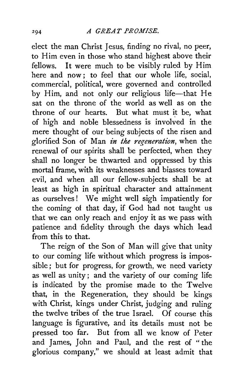elect the man Christ Jesus, finding no rival, no peer, to Him even in those who stand highest above their fellows. It were much to be visibly ruled by Him here and now: to feel that our whole life, social, commercial, political, were governed and controlled by Him, and not only our religious life-that He sat on the throne of the world as well as on the throne of our hearts. But what must it be, what of high and noble blessedness is involved in the mere thought of our being subjects of the risen and glorified Son of Man *in the regeneration,* when the renewal of our spirits shall be perfected, when they shall no longer be thwarted and oppressed by this mortal frame, with its weaknesses and biasses toward evil, and when all our fellow-subjects shall be at least as high in spiritual character and attainment as ourselves! We might well sigh impatiently for the coming of that day, if God had not taught us that we can only reach and enjoy it as we pass with patience and fidelity through the days which lead from this to that.

The reign of the Son of Man will give that unity to our coming life without which progress is impossible ; but for progress, for growth, we need variety as well as unity; and the variety of our coming life is indicated by the promise made to the Twelve that, in the Regeneration, they should be kings with Christ, kings under Christ, judging and ruling the twelve tribes of the true Israel. Of course this language is figurative, and its details must not be pressed too far. But from all we know of Peter and James, John and Paul, and the rest of "the glorious company," we should at least admit that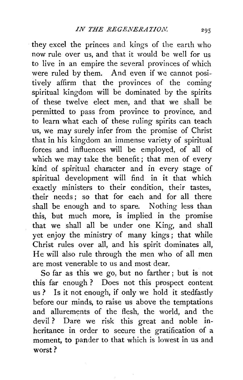they excel the princes and kings of the earth who now rule over us, and that it would be well for us to live in an empire the several provinces of which were ruled by them. And even if we cannot positively affirm that the provinces of the coming spiritual kingdom will be dominated by the spirits of these twelve elect men, and that we shall be permitted to pass from province to province, and to learn what each of these ruling spirits can teach us, we may surely infer from the promise of Christ that in his kingdom an immense variety of spiritual forces and influences will be employed, of all of which we may take the benefit; that men of every kind of spiritual character and in every stage of spiritual development will find in it that which exactly ministers to their condition, their tastes, their needs ; so that for each and for all there shall be enough and to spare. Nothing less than this, but much more, is implied in the promise that we shall all be under one King, and shall yet enjoy the ministry of many kings; that while Christ rules over all, and his spirit dominates all, He will also rule through the men who of all men are most venerable to us and most dear.

So far as this we go, but no farther ; but is not this far enough ? Does not this prospect content us ? Is it not enough, if only we hold it stedfastly before our minds, to raise us above the temptations and allurements of the flesh, the world, and the devil ? Dare we risk this great and noble inheritance in order to secure the gratification of a moment, to pander to that which is lowest in us and worst?